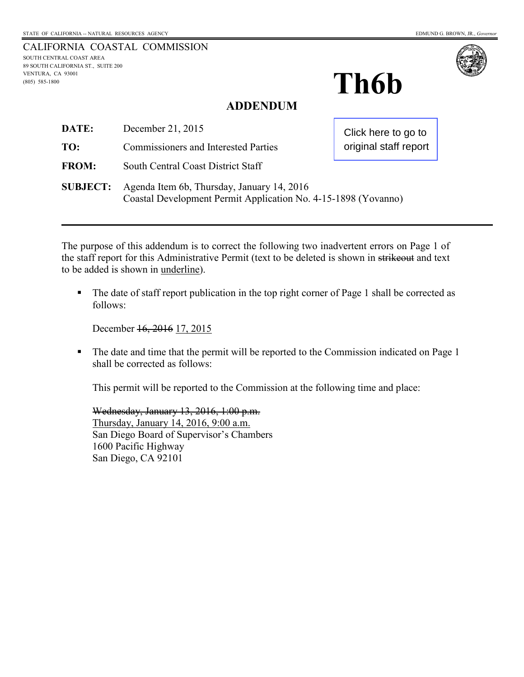| CALIFORNIA COASTAL COMMISSION      |
|------------------------------------|
| SOUTH CENTRAL COAST AREA           |
| 89 SOUTH CALIFORNIA ST., SUITE 200 |
| VENTURA. CA 93001                  |
| $(805)$ 585-1800                   |
|                                    |



# **ADDENDUM**

| DATE:           | December 21, 2015                                                                                            | Click here to go to<br>original staff report |
|-----------------|--------------------------------------------------------------------------------------------------------------|----------------------------------------------|
| TO:             | <b>Commissioners and Interested Parties</b>                                                                  |                                              |
| <b>FROM:</b>    | South Central Coast District Staff                                                                           |                                              |
| <b>SUBJECT:</b> | Agenda Item 6b, Thursday, January 14, 2016<br>Coastal Development Permit Application No. 4-15-1898 (Yovanno) |                                              |

The purpose of this addendum is to correct the following two inadvertent errors on Page 1 of the staff report for this Administrative Permit (text to be deleted is shown in strikeout and text to be added is shown in underline).

The date of staff report publication in the top right corner of Page 1 shall be corrected as follows:

December 16, 2016 17, 2015

• The date and time that the permit will be reported to the Commission indicated on Page 1 shall be corrected as follows:

This permit will be reported to the Commission at the following time and place:

Wednesday, January 13, 2016, 1:00 p.m. Thursday, January 14, 2016, 9:00 a.m. San Diego Board of Supervisor's Chambers 1600 Pacific Highway San Diego, CA 92101

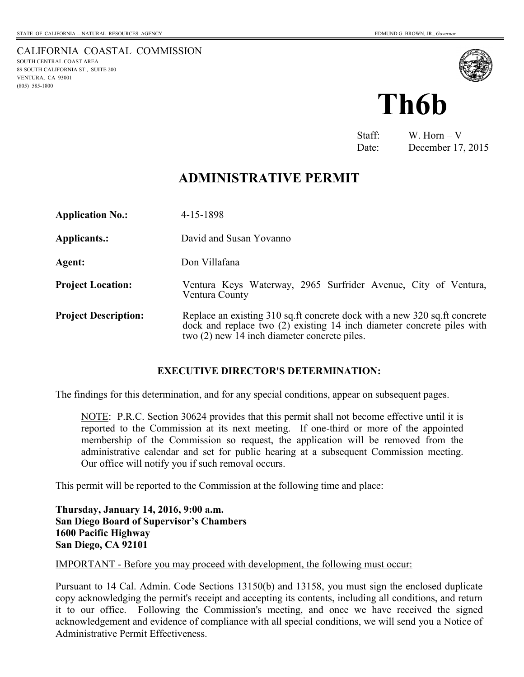SOUTH CENTRAL COAST AREA 89 SOUTH CALIFORNIA ST., SUITE 200

VENTURA, CA 93001 (805) 585-1800

<span id="page-1-0"></span>CALIFORNIA COASTAL COMMISSION



Staff: W. Horn – V Date: December 17, 2015

# **ADMINISTRATIVE PERMIT**

| <b>Application No.:</b>     | 4-15-1898                                                                                                                                                                                           |  |
|-----------------------------|-----------------------------------------------------------------------------------------------------------------------------------------------------------------------------------------------------|--|
| Applicants.:                | David and Susan Yovanno                                                                                                                                                                             |  |
| Agent:                      | Don Villafana                                                                                                                                                                                       |  |
| <b>Project Location:</b>    | Ventura Keys Waterway, 2965 Surfrider Avenue, City of Ventura,<br>Ventura County                                                                                                                    |  |
| <b>Project Description:</b> | Replace an existing 310 sq.ft concrete dock with a new 320 sq.ft concrete<br>dock and replace two (2) existing 14 inch diameter concrete piles with<br>two (2) new 14 inch diameter concrete piles. |  |

## **EXECUTIVE DIRECTOR'S DETERMINATION:**

The findings for this determination, and for any special conditions, appear on subsequent pages.

 NOTE: P.R.C. Section 30624 provides that this permit shall not become effective until it is reported to the Commission at its next meeting. If one-third or more of the appointed membership of the Commission so request, the application will be removed from the administrative calendar and set for public hearing at a subsequent Commission meeting. Our office will notify you if such removal occurs.

This permit will be reported to the Commission at the following time and place:

**Thursday, January 14, 2016, 9:00 a.m. San Diego Board of Supervisor's Chambers 1600 Pacific Highway San Diego, CA 92101** 

IMPORTANT - Before you may proceed with development, the following must occur:

Pursuant to 14 Cal. Admin. Code Sections 13150(b) and 13158, you must sign the enclosed duplicate copy acknowledging the permit's receipt and accepting its contents, including all conditions, and return it to our office. Following the Commission's meeting, and once we have received the signed acknowledgement and evidence of compliance with all special conditions, we will send you a Notice of Administrative Permit Effectiveness.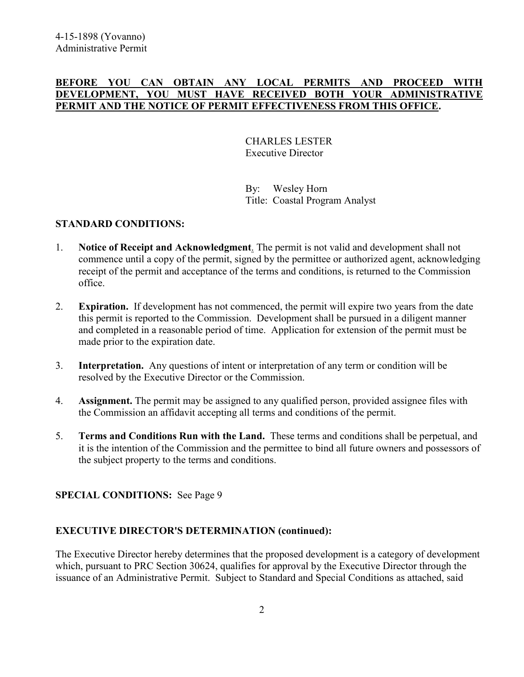#### **BEFORE YOU CAN OBTAIN ANY LOCAL PERMITS AND PROCEED WITH DEVELOPMENT, YOU MUST HAVE RECEIVED BOTH YOUR ADMINISTRATIVE PERMIT AND THE NOTICE OF PERMIT EFFECTIVENESS FROM THIS OFFICE.**

 CHARLES LESTER Executive Director

 By: Wesley Horn Title: Coastal Program Analyst

#### **STANDARD CONDITIONS:**

- 1. **Notice of Receipt and Acknowledgment**. The permit is not valid and development shall not commence until a copy of the permit, signed by the permittee or authorized agent, acknowledging receipt of the permit and acceptance of the terms and conditions, is returned to the Commission office.
- 2. **Expiration.** If development has not commenced, the permit will expire two years from the date this permit is reported to the Commission. Development shall be pursued in a diligent manner and completed in a reasonable period of time. Application for extension of the permit must be made prior to the expiration date.
- 3. **Interpretation.** Any questions of intent or interpretation of any term or condition will be resolved by the Executive Director or the Commission.
- 4. **Assignment.** The permit may be assigned to any qualified person, provided assignee files with the Commission an affidavit accepting all terms and conditions of the permit.
- 5. **Terms and Conditions Run with the Land.** These terms and conditions shall be perpetual, and it is the intention of the Commission and the permittee to bind all future owners and possessors of the subject property to the terms and conditions.

## **SPECIAL CONDITIONS:** See Page 9

## **EXECUTIVE DIRECTOR'S DETERMINATION (continued):**

The Executive Director hereby determines that the proposed development is a category of development which, pursuant to PRC Section 30624, qualifies for approval by the Executive Director through the issuance of an Administrative Permit. Subject to Standard and Special Conditions as attached, said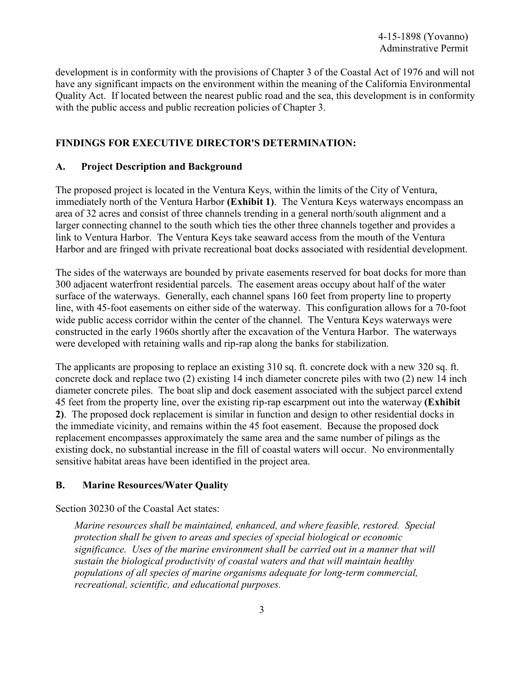development is in conformity with the provisions of Chapter 3 of the Coastal Act of 1976 and will not have any significant impacts on the environment within the meaning of the California Environmental Quality Act. If located between the nearest public road and the sea, this development is in conformity with the public access and public recreation policies of Chapter 3.

#### **FINDINGS FOR EXECUTIVE DIRECTOR'S DETERMINATION:**

#### **A. Project Description and Background**

The proposed project is located in the Ventura Keys, within the limits of the City of Ventura, immediately north of the Ventura Harbor **(Exhibit 1)**. The Ventura Keys waterways encompass an area of 32 acres and consist of three channels trending in a general north/south alignment and a larger connecting channel to the south which ties the other three channels together and provides a link to Ventura Harbor. The Ventura Keys take seaward access from the mouth of the Ventura Harbor and are fringed with private recreational boat docks associated with residential development.

The sides of the waterways are bounded by private easements reserved for boat docks for more than 300 adjacent waterfront residential parcels. The easement areas occupy about half of the water surface of the waterways. Generally, each channel spans 160 feet from property line to property line, with 45-foot easements on either side of the waterway. This configuration allows for a 70-foot wide public access corridor within the center of the channel. The Ventura Keys waterways were constructed in the early 1960s shortly after the excavation of the Ventura Harbor. The waterways were developed with retaining walls and rip-rap along the banks for stabilization.

The applicants are proposing to replace an existing 310 sq. ft. concrete dock with a new 320 sq. ft. concrete dock and replace two (2) existing 14 inch diameter concrete piles with two (2) new 14 inch diameter concrete piles. The boat slip and dock easement associated with the subject parcel extend 45 feet from the property line, over the existing rip-rap escarpment out into the waterway **(Exhibit 2)**. The proposed dock replacement is similar in function and design to other residential docks in the immediate vicinity, and remains within the 45 foot easement. Because the proposed dock replacement encompasses approximately the same area and the same number of pilings as the existing dock, no substantial increase in the fill of coastal waters will occur. No environmentally sensitive habitat areas have been identified in the project area.

#### **B. Marine Resources/Water Quality**

Section 30230 of the Coastal Act states:

*Marine resources shall be maintained, enhanced, and where feasible, restored. Special protection shall be given to areas and species of special biological or economic significance. Uses of the marine environment shall be carried out in a manner that will sustain the biological productivity of coastal waters and that will maintain healthy populations of all species of marine organisms adequate for long-term commercial, recreational, scientific, and educational purposes.*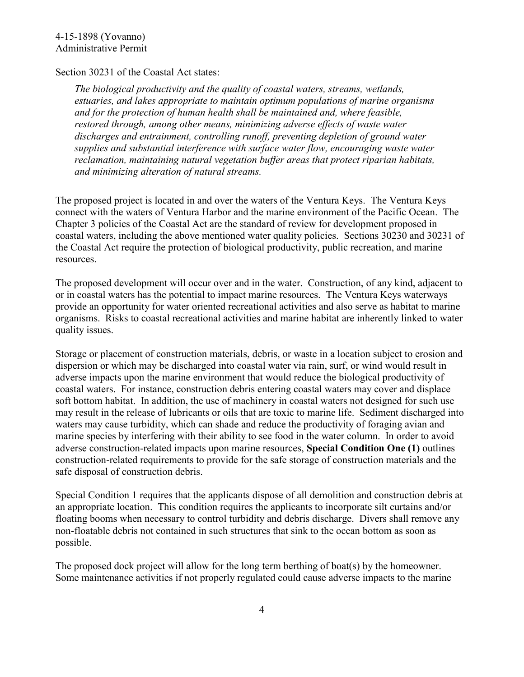## Section 30231 of the Coastal Act states:

*The biological productivity and the quality of coastal waters, streams, wetlands, estuaries, and lakes appropriate to maintain optimum populations of marine organisms and for the protection of human health shall be maintained and, where feasible, restored through, among other means, minimizing adverse effects of waste water discharges and entrainment, controlling runoff, preventing depletion of ground water supplies and substantial interference with surface water flow, encouraging waste water reclamation, maintaining natural vegetation buffer areas that protect riparian habitats, and minimizing alteration of natural streams.* 

The proposed project is located in and over the waters of the Ventura Keys. The Ventura Keys connect with the waters of Ventura Harbor and the marine environment of the Pacific Ocean. The Chapter 3 policies of the Coastal Act are the standard of review for development proposed in coastal waters, including the above mentioned water quality policies. Sections 30230 and 30231 of the Coastal Act require the protection of biological productivity, public recreation, and marine resources.

The proposed development will occur over and in the water. Construction, of any kind, adjacent to or in coastal waters has the potential to impact marine resources. The Ventura Keys waterways provide an opportunity for water oriented recreational activities and also serve as habitat to marine organisms. Risks to coastal recreational activities and marine habitat are inherently linked to water quality issues.

Storage or placement of construction materials, debris, or waste in a location subject to erosion and dispersion or which may be discharged into coastal water via rain, surf, or wind would result in adverse impacts upon the marine environment that would reduce the biological productivity of coastal waters. For instance, construction debris entering coastal waters may cover and displace soft bottom habitat. In addition, the use of machinery in coastal waters not designed for such use may result in the release of lubricants or oils that are toxic to marine life. Sediment discharged into waters may cause turbidity, which can shade and reduce the productivity of foraging avian and marine species by interfering with their ability to see food in the water column. In order to avoid adverse construction-related impacts upon marine resources, **Special Condition One (1)** outlines construction-related requirements to provide for the safe storage of construction materials and the safe disposal of construction debris.

Special Condition 1 requires that the applicants dispose of all demolition and construction debris at an appropriate location. This condition requires the applicants to incorporate silt curtains and/or floating booms when necessary to control turbidity and debris discharge. Divers shall remove any non-floatable debris not contained in such structures that sink to the ocean bottom as soon as possible.

The proposed dock project will allow for the long term berthing of boat(s) by the homeowner. Some maintenance activities if not properly regulated could cause adverse impacts to the marine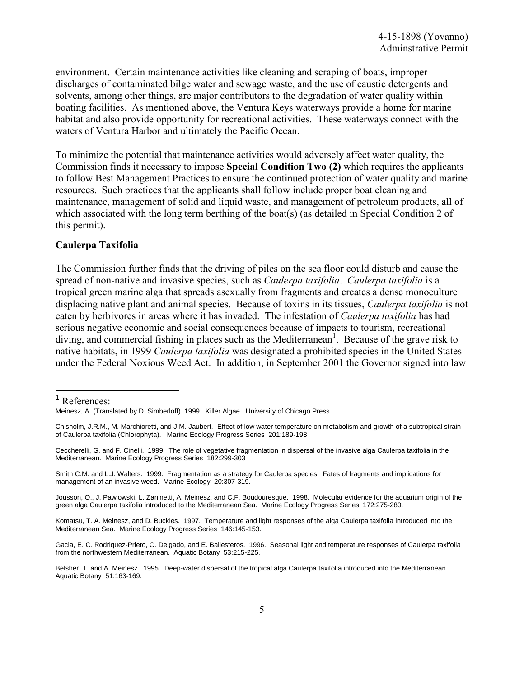environment. Certain maintenance activities like cleaning and scraping of boats, improper discharges of contaminated bilge water and sewage waste, and the use of caustic detergents and solvents, among other things, are major contributors to the degradation of water quality within boating facilities. As mentioned above, the Ventura Keys waterways provide a home for marine habitat and also provide opportunity for recreational activities. These waterways connect with the waters of Ventura Harbor and ultimately the Pacific Ocean.

To minimize the potential that maintenance activities would adversely affect water quality, the Commission finds it necessary to impose **Special Condition Two (2)** which requires the applicants to follow Best Management Practices to ensure the continued protection of water quality and marine resources. Such practices that the applicants shall follow include proper boat cleaning and maintenance, management of solid and liquid waste, and management of petroleum products, all of which associated with the long term berthing of the boat(s) (as detailed in Special Condition 2 of this permit).

#### **Caulerpa Taxifolia**

The Commission further finds that the driving of piles on the sea floor could disturb and cause the spread of non-native and invasive species, such as *Caulerpa taxifolia*. *Caulerpa taxifolia* is a tropical green marine alga that spreads asexually from fragments and creates a dense monoculture displacing native plant and animal species. Because of toxins in its tissues, *Caulerpa taxifolia* is not eaten by herbivores in areas where it has invaded. The infestation of *Caulerpa taxifolia* has had serious negative economic and social consequences because of impacts to tourism, recreational diving, and commercial fishing in places such as the Mediterranean<sup>1</sup>. Because of the grave risk to native habitats, in 1999 *Caulerpa taxifolia* was designated a prohibited species in the United States under the Federal Noxious Weed Act. In addition, in September 2001 the Governor signed into law

<sup>1</sup> References:

l

Meinesz, A. (Translated by D. Simberloff) 1999. Killer Algae. University of Chicago Press

Chisholm, J.R.M., M. Marchioretti, and J.M. Jaubert. Effect of low water temperature on metabolism and growth of a subtropical strain of Caulerpa taxifolia (Chlorophyta). Marine Ecology Progress Series 201:189-198

Ceccherelli, G. and F. Cinelli. 1999. The role of vegetative fragmentation in dispersal of the invasive alga Caulerpa taxifolia in the Mediterranean. Marine Ecology Progress Series 182:299-303

Smith C.M. and L.J. Walters. 1999. Fragmentation as a strategy for Caulerpa species: Fates of fragments and implications for management of an invasive weed. Marine Ecology 20:307-319.

Jousson, O., J. Pawlowski, L. Zaninetti, A. Meinesz, and C.F. Boudouresque. 1998. Molecular evidence for the aquarium origin of the green alga Caulerpa taxifolia introduced to the Mediterranean Sea. Marine Ecology Progress Series 172:275-280.

Komatsu, T. A. Meinesz, and D. Buckles. 1997. Temperature and light responses of the alga Caulerpa taxifolia introduced into the Mediterranean Sea. Marine Ecology Progress Series 146:145-153.

Gacia, E. C. Rodriquez-Prieto, O. Delgado, and E. Ballesteros. 1996. Seasonal light and temperature responses of Caulerpa taxifolia from the northwestern Mediterranean. Aquatic Botany 53:215-225.

Belsher, T. and A. Meinesz. 1995. Deep-water dispersal of the tropical alga Caulerpa taxifolia introduced into the Mediterranean. Aquatic Botany 51:163-169.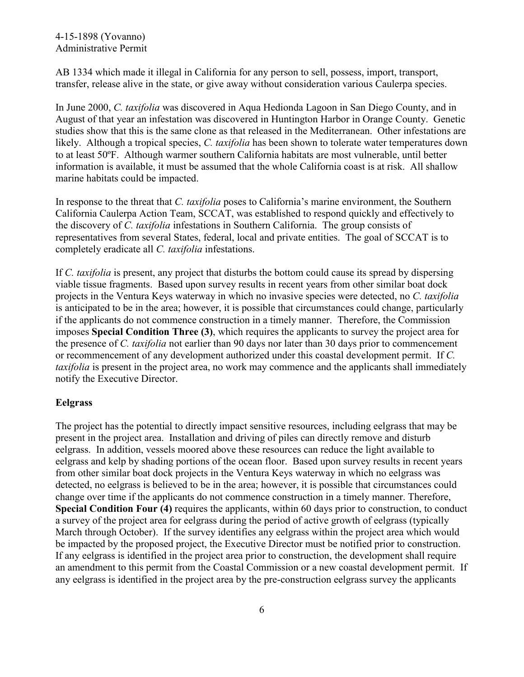#### 4-15-1898 (Yovanno) Administrative Permit

AB 1334 which made it illegal in California for any person to sell, possess, import, transport, transfer, release alive in the state, or give away without consideration various Caulerpa species.

In June 2000, *C. taxifolia* was discovered in Aqua Hedionda Lagoon in San Diego County, and in August of that year an infestation was discovered in Huntington Harbor in Orange County. Genetic studies show that this is the same clone as that released in the Mediterranean. Other infestations are likely. Although a tropical species, *C. taxifolia* has been shown to tolerate water temperatures down to at least 50ºF. Although warmer southern California habitats are most vulnerable, until better information is available, it must be assumed that the whole California coast is at risk. All shallow marine habitats could be impacted.

In response to the threat that *C. taxifolia* poses to California's marine environment, the Southern California Caulerpa Action Team, SCCAT, was established to respond quickly and effectively to the discovery of *C. taxifolia* infestations in Southern California. The group consists of representatives from several States, federal, local and private entities. The goal of SCCAT is to completely eradicate all *C. taxifolia* infestations.

If *C. taxifolia* is present, any project that disturbs the bottom could cause its spread by dispersing viable tissue fragments. Based upon survey results in recent years from other similar boat dock projects in the Ventura Keys waterway in which no invasive species were detected, no *C. taxifolia* is anticipated to be in the area; however, it is possible that circumstances could change, particularly if the applicants do not commence construction in a timely manner. Therefore, the Commission imposes **Special Condition Three (3)**, which requires the applicants to survey the project area for the presence of *C. taxifolia* not earlier than 90 days nor later than 30 days prior to commencement or recommencement of any development authorized under this coastal development permit. If *C. taxifolia* is present in the project area, no work may commence and the applicants shall immediately notify the Executive Director.

#### **Eelgrass**

The project has the potential to directly impact sensitive resources, including eelgrass that may be present in the project area. Installation and driving of piles can directly remove and disturb eelgrass. In addition, vessels moored above these resources can reduce the light available to eelgrass and kelp by shading portions of the ocean floor. Based upon survey results in recent years from other similar boat dock projects in the Ventura Keys waterway in which no eelgrass was detected, no eelgrass is believed to be in the area; however, it is possible that circumstances could change over time if the applicants do not commence construction in a timely manner. Therefore, **Special Condition Four (4)** requires the applicants, within 60 days prior to construction, to conduct a survey of the project area for eelgrass during the period of active growth of eelgrass (typically March through October). If the survey identifies any eelgrass within the project area which would be impacted by the proposed project, the Executive Director must be notified prior to construction. If any eelgrass is identified in the project area prior to construction, the development shall require an amendment to this permit from the Coastal Commission or a new coastal development permit. If any eelgrass is identified in the project area by the pre-construction eelgrass survey the applicants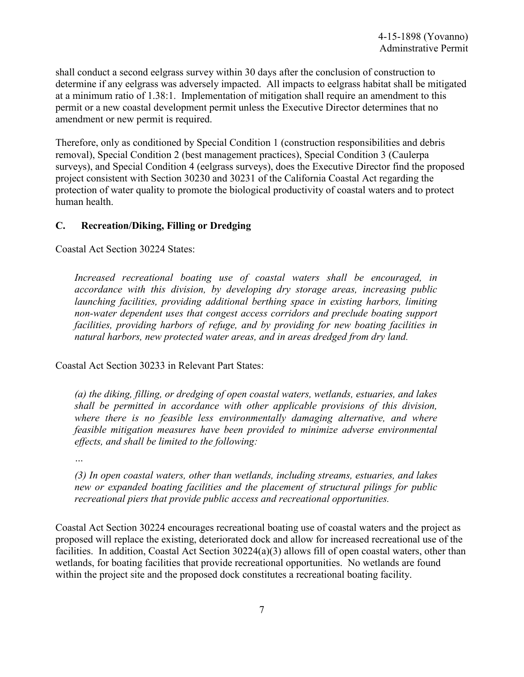shall conduct a second eelgrass survey within 30 days after the conclusion of construction to determine if any eelgrass was adversely impacted. All impacts to eelgrass habitat shall be mitigated at a minimum ratio of 1.38:1. Implementation of mitigation shall require an amendment to this permit or a new coastal development permit unless the Executive Director determines that no amendment or new permit is required.

Therefore, only as conditioned by Special Condition 1 (construction responsibilities and debris removal), Special Condition 2 (best management practices), Special Condition 3 (Caulerpa surveys), and Special Condition 4 (eelgrass surveys), does the Executive Director find the proposed project consistent with Section 30230 and 30231 of the California Coastal Act regarding the protection of water quality to promote the biological productivity of coastal waters and to protect human health.

#### **C. Recreation/Diking, Filling or Dredging**

Coastal Act Section 30224 States:

*Increased recreational boating use of coastal waters shall be encouraged, in accordance with this division, by developing dry storage areas, increasing public launching facilities, providing additional berthing space in existing harbors, limiting non-water dependent uses that congest access corridors and preclude boating support facilities, providing harbors of refuge, and by providing for new boating facilities in natural harbors, new protected water areas, and in areas dredged from dry land.* 

Coastal Act Section 30233 in Relevant Part States:

*(a) the diking, filling, or dredging of open coastal waters, wetlands, estuaries, and lakes shall be permitted in accordance with other applicable provisions of this division, where there is no feasible less environmentally damaging alternative, and where feasible mitigation measures have been provided to minimize adverse environmental effects, and shall be limited to the following:* 

*…* 

*(3) In open coastal waters, other than wetlands, including streams, estuaries, and lakes new or expanded boating facilities and the placement of structural pilings for public recreational piers that provide public access and recreational opportunities.* 

Coastal Act Section 30224 encourages recreational boating use of coastal waters and the project as proposed will replace the existing, deteriorated dock and allow for increased recreational use of the facilities. In addition, Coastal Act Section 30224(a)(3) allows fill of open coastal waters, other than wetlands, for boating facilities that provide recreational opportunities. No wetlands are found within the project site and the proposed dock constitutes a recreational boating facility.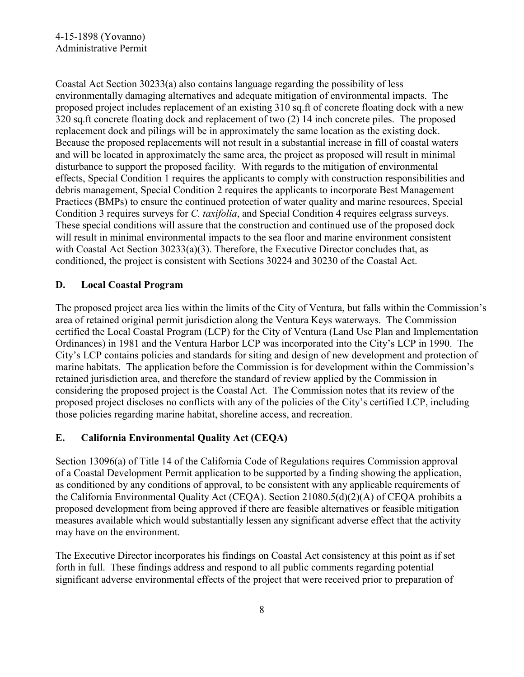Coastal Act Section 30233(a) also contains language regarding the possibility of less environmentally damaging alternatives and adequate mitigation of environmental impacts. The proposed project includes replacement of an existing 310 sq.ft of concrete floating dock with a new 320 sq.ft concrete floating dock and replacement of two (2) 14 inch concrete piles. The proposed replacement dock and pilings will be in approximately the same location as the existing dock. Because the proposed replacements will not result in a substantial increase in fill of coastal waters and will be located in approximately the same area, the project as proposed will result in minimal disturbance to support the proposed facility. With regards to the mitigation of environmental effects, Special Condition 1 requires the applicants to comply with construction responsibilities and debris management, Special Condition 2 requires the applicants to incorporate Best Management Practices (BMPs) to ensure the continued protection of water quality and marine resources, Special Condition 3 requires surveys for *C. taxifolia*, and Special Condition 4 requires eelgrass surveys. These special conditions will assure that the construction and continued use of the proposed dock will result in minimal environmental impacts to the sea floor and marine environment consistent with Coastal Act Section 30233(a)(3). Therefore, the Executive Director concludes that, as conditioned, the project is consistent with Sections 30224 and 30230 of the Coastal Act.

## **D. Local Coastal Program**

The proposed project area lies within the limits of the City of Ventura, but falls within the Commission's area of retained original permit jurisdiction along the Ventura Keys waterways. The Commission certified the Local Coastal Program (LCP) for the City of Ventura (Land Use Plan and Implementation Ordinances) in 1981 and the Ventura Harbor LCP was incorporated into the City's LCP in 1990. The City's LCP contains policies and standards for siting and design of new development and protection of marine habitats. The application before the Commission is for development within the Commission's retained jurisdiction area, and therefore the standard of review applied by the Commission in considering the proposed project is the Coastal Act. The Commission notes that its review of the proposed project discloses no conflicts with any of the policies of the City's certified LCP, including those policies regarding marine habitat, shoreline access, and recreation.

# **E. California Environmental Quality Act (CEQA)**

Section 13096(a) of Title 14 of the California Code of Regulations requires Commission approval of a Coastal Development Permit application to be supported by a finding showing the application, as conditioned by any conditions of approval, to be consistent with any applicable requirements of the California Environmental Quality Act (CEQA). Section 21080.5(d)(2)(A) of CEQA prohibits a proposed development from being approved if there are feasible alternatives or feasible mitigation measures available which would substantially lessen any significant adverse effect that the activity may have on the environment.

The Executive Director incorporates his findings on Coastal Act consistency at this point as if set forth in full. These findings address and respond to all public comments regarding potential significant adverse environmental effects of the project that were received prior to preparation of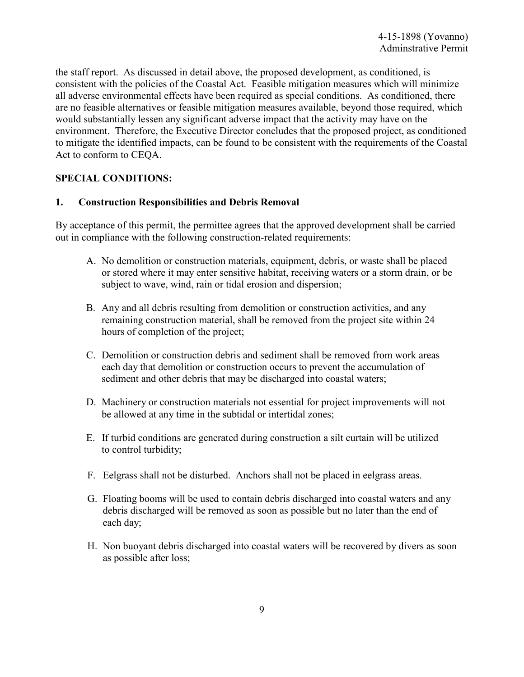the staff report. As discussed in detail above, the proposed development, as conditioned, is consistent with the policies of the Coastal Act. Feasible mitigation measures which will minimize all adverse environmental effects have been required as special conditions. As conditioned, there are no feasible alternatives or feasible mitigation measures available, beyond those required, which would substantially lessen any significant adverse impact that the activity may have on the environment. Therefore, the Executive Director concludes that the proposed project, as conditioned to mitigate the identified impacts, can be found to be consistent with the requirements of the Coastal Act to conform to CEQA.

#### **SPECIAL CONDITIONS:**

#### **1. Construction Responsibilities and Debris Removal**

By acceptance of this permit, the permittee agrees that the approved development shall be carried out in compliance with the following construction-related requirements:

- A. No demolition or construction materials, equipment, debris, or waste shall be placed or stored where it may enter sensitive habitat, receiving waters or a storm drain, or be subject to wave, wind, rain or tidal erosion and dispersion;
- B. Any and all debris resulting from demolition or construction activities, and any remaining construction material, shall be removed from the project site within 24 hours of completion of the project;
- C. Demolition or construction debris and sediment shall be removed from work areas each day that demolition or construction occurs to prevent the accumulation of sediment and other debris that may be discharged into coastal waters;
- D. Machinery or construction materials not essential for project improvements will not be allowed at any time in the subtidal or intertidal zones;
- E. If turbid conditions are generated during construction a silt curtain will be utilized to control turbidity;
- F. Eelgrass shall not be disturbed. Anchors shall not be placed in eelgrass areas.
- G. Floating booms will be used to contain debris discharged into coastal waters and any debris discharged will be removed as soon as possible but no later than the end of each day;
- H. Non buoyant debris discharged into coastal waters will be recovered by divers as soon as possible after loss;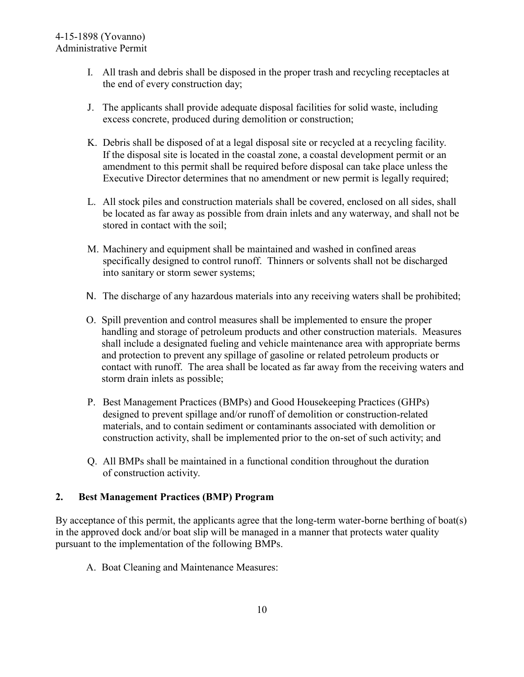- I. All trash and debris shall be disposed in the proper trash and recycling receptacles at the end of every construction day;
- J. The applicants shall provide adequate disposal facilities for solid waste, including excess concrete, produced during demolition or construction;
- K. Debris shall be disposed of at a legal disposal site or recycled at a recycling facility. If the disposal site is located in the coastal zone, a coastal development permit or an amendment to this permit shall be required before disposal can take place unless the Executive Director determines that no amendment or new permit is legally required;
- L. All stock piles and construction materials shall be covered, enclosed on all sides, shall be located as far away as possible from drain inlets and any waterway, and shall not be stored in contact with the soil;
- M. Machinery and equipment shall be maintained and washed in confined areas specifically designed to control runoff. Thinners or solvents shall not be discharged into sanitary or storm sewer systems;
- N. The discharge of any hazardous materials into any receiving waters shall be prohibited;
- O. Spill prevention and control measures shall be implemented to ensure the proper handling and storage of petroleum products and other construction materials. Measures shall include a designated fueling and vehicle maintenance area with appropriate berms and protection to prevent any spillage of gasoline or related petroleum products or contact with runoff. The area shall be located as far away from the receiving waters and storm drain inlets as possible;
- P. Best Management Practices (BMPs) and Good Housekeeping Practices (GHPs) designed to prevent spillage and/or runoff of demolition or construction-related materials, and to contain sediment or contaminants associated with demolition or construction activity, shall be implemented prior to the on-set of such activity; and
- Q. All BMPs shall be maintained in a functional condition throughout the duration of construction activity.

## **2. Best Management Practices (BMP) Program**

By acceptance of this permit, the applicants agree that the long-term water-borne berthing of boat(s) in the approved dock and/or boat slip will be managed in a manner that protects water quality pursuant to the implementation of the following BMPs.

A. Boat Cleaning and Maintenance Measures: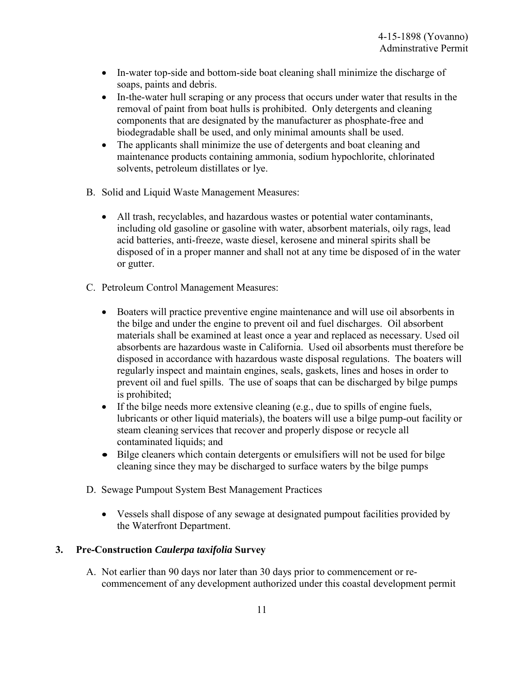- In-water top-side and bottom-side boat cleaning shall minimize the discharge of soaps, paints and debris.
- In-the-water hull scraping or any process that occurs under water that results in the removal of paint from boat hulls is prohibited. Only detergents and cleaning components that are designated by the manufacturer as phosphate-free and biodegradable shall be used, and only minimal amounts shall be used.
- The applicants shall minimize the use of detergents and boat cleaning and maintenance products containing ammonia, sodium hypochlorite, chlorinated solvents, petroleum distillates or lye.
- B. Solid and Liquid Waste Management Measures:
	- All trash, recyclables, and hazardous wastes or potential water contaminants, including old gasoline or gasoline with water, absorbent materials, oily rags, lead acid batteries, anti-freeze, waste diesel, kerosene and mineral spirits shall be disposed of in a proper manner and shall not at any time be disposed of in the water or gutter.
- C. Petroleum Control Management Measures:
	- Boaters will practice preventive engine maintenance and will use oil absorbents in the bilge and under the engine to prevent oil and fuel discharges. Oil absorbent materials shall be examined at least once a year and replaced as necessary. Used oil absorbents are hazardous waste in California. Used oil absorbents must therefore be disposed in accordance with hazardous waste disposal regulations. The boaters will regularly inspect and maintain engines, seals, gaskets, lines and hoses in order to prevent oil and fuel spills. The use of soaps that can be discharged by bilge pumps is prohibited;
	- If the bilge needs more extensive cleaning (e.g., due to spills of engine fuels, lubricants or other liquid materials), the boaters will use a bilge pump-out facility or steam cleaning services that recover and properly dispose or recycle all contaminated liquids; and
	- Bilge cleaners which contain detergents or emulsifiers will not be used for bilge cleaning since they may be discharged to surface waters by the bilge pumps
- D. Sewage Pumpout System Best Management Practices
	- Vessels shall dispose of any sewage at designated pumpout facilities provided by the Waterfront Department.

#### **3. Pre-Construction** *Caulerpa taxifolia* **Survey**

A. Not earlier than 90 days nor later than 30 days prior to commencement or recommencement of any development authorized under this coastal development permit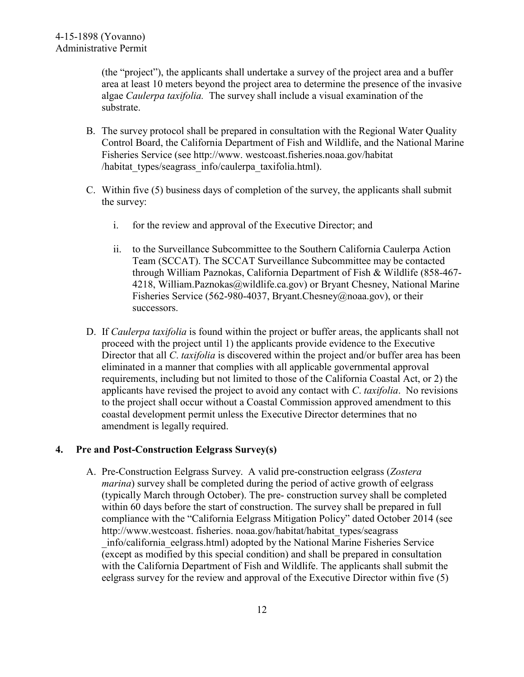(the "project"), the applicants shall undertake a survey of the project area and a buffer area at least 10 meters beyond the project area to determine the presence of the invasive algae *Caulerpa taxifolia.* The survey shall include a visual examination of the substrate.

- B. The survey protocol shall be prepared in consultation with the Regional Water Quality Control Board, the California Department of Fish and Wildlife, and the National Marine Fisheries Service (see http://www. westcoast.fisheries.noaa.gov/habitat /habitat\_types/seagrass\_info/caulerpa\_taxifolia.html).
- C. Within five (5) business days of completion of the survey, the applicants shall submit the survey:
	- i. for the review and approval of the Executive Director; and
	- ii. to the Surveillance Subcommittee to the Southern California Caulerpa Action Team (SCCAT). The SCCAT Surveillance Subcommittee may be contacted through William Paznokas, California Department of Fish & Wildlife (858-467- 4218, William.Paznokas@wildlife.ca.gov) or Bryant Chesney, National Marine Fisheries Service (562-980-4037, Bryant.Chesney@noaa.gov), or their successors.
- D. If *Caulerpa taxifolia* is found within the project or buffer areas, the applicants shall not proceed with the project until 1) the applicants provide evidence to the Executive Director that all *C*. *taxifolia* is discovered within the project and/or buffer area has been eliminated in a manner that complies with all applicable governmental approval requirements, including but not limited to those of the California Coastal Act, or 2) the applicants have revised the project to avoid any contact with *C*. *taxifolia*. No revisions to the project shall occur without a Coastal Commission approved amendment to this coastal development permit unless the Executive Director determines that no amendment is legally required.

## **4. Pre and Post-Construction Eelgrass Survey(s)**

A. Pre-Construction Eelgrass Survey. A valid pre-construction eelgrass (*Zostera marina*) survey shall be completed during the period of active growth of eelgrass (typically March through October). The pre- construction survey shall be completed within 60 days before the start of construction. The survey shall be prepared in full compliance with the "California Eelgrass Mitigation Policy" dated October 2014 (see http://www.westcoast. fisheries. noaa.gov/habitat/habitat\_types/seagrass \_info/california\_eelgrass.html) adopted by the National Marine Fisheries Service (except as modified by this special condition) and shall be prepared in consultation with the California Department of Fish and Wildlife. The applicants shall submit the eelgrass survey for the review and approval of the Executive Director within five (5)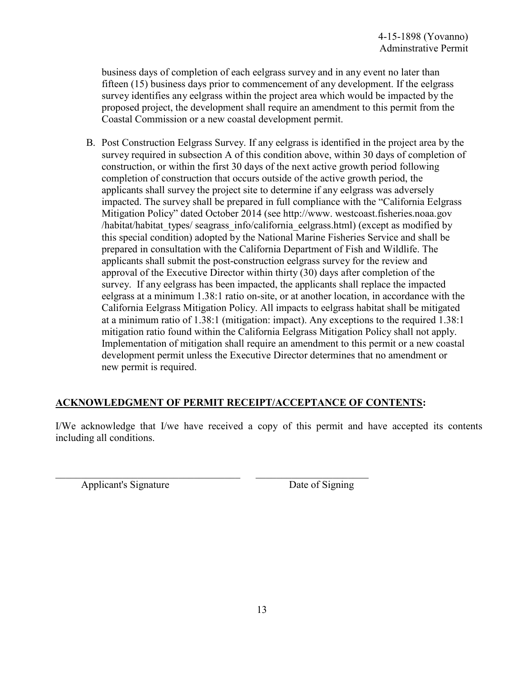business days of completion of each eelgrass survey and in any event no later than fifteen (15) business days prior to commencement of any development. If the eelgrass survey identifies any eelgrass within the project area which would be impacted by the proposed project, the development shall require an amendment to this permit from the Coastal Commission or a new coastal development permit.

B. Post Construction Eelgrass Survey. If any eelgrass is identified in the project area by the survey required in subsection A of this condition above, within 30 days of completion of construction, or within the first 30 days of the next active growth period following completion of construction that occurs outside of the active growth period, the applicants shall survey the project site to determine if any eelgrass was adversely impacted. The survey shall be prepared in full compliance with the "California Eelgrass Mitigation Policy" dated October 2014 (see http://www. westcoast.fisheries.noaa.gov /habitat/habitat types/ seagrass info/california eelgrass.html) (except as modified by this special condition) adopted by the National Marine Fisheries Service and shall be prepared in consultation with the California Department of Fish and Wildlife. The applicants shall submit the post-construction eelgrass survey for the review and approval of the Executive Director within thirty (30) days after completion of the survey. If any eelgrass has been impacted, the applicants shall replace the impacted eelgrass at a minimum 1.38:1 ratio on-site, or at another location, in accordance with the California Eelgrass Mitigation Policy. All impacts to eelgrass habitat shall be mitigated at a minimum ratio of 1.38:1 (mitigation: impact). Any exceptions to the required 1.38:1 mitigation ratio found within the California Eelgrass Mitigation Policy shall not apply. Implementation of mitigation shall require an amendment to this permit or a new coastal development permit unless the Executive Director determines that no amendment or new permit is required.

## **ACKNOWLEDGMENT OF PERMIT RECEIPT/ACCEPTANCE OF CONTENTS:**

 $\_$  , and the set of the set of the set of the set of the set of the set of the set of the set of the set of the set of the set of the set of the set of the set of the set of the set of the set of the set of the set of th

I/We acknowledge that I/we have received a copy of this permit and have accepted its contents including all conditions.

Applicant's Signature Date of Signing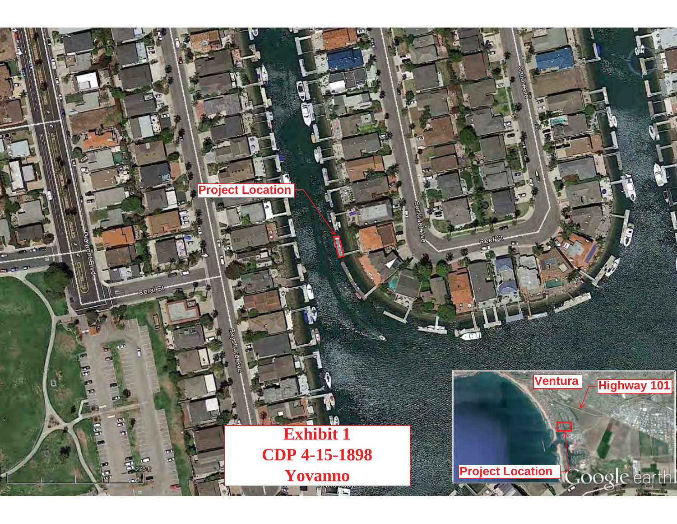